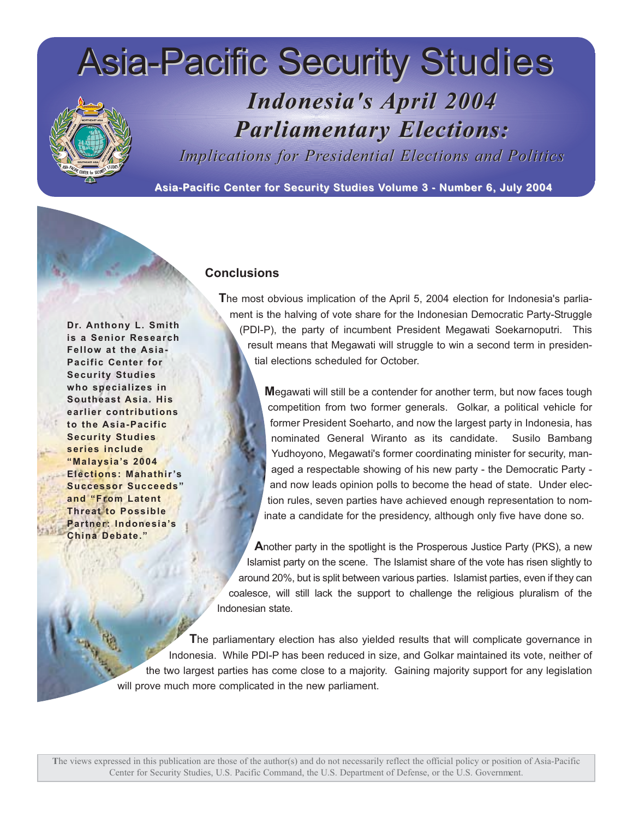# Asia-Pacific Security Studies

## *Indonesia's Indonesia's April 2004 April 2004 Parliament Parliamentary Elections: ary Elections:*

*Implications for Presidential Elections and Politics* 

Asia-Pacific Center for Security Studies Volume 3 - Number 6, July 2004

### **Conclusions**

**Dr. Anthony L. Smith is a Senior Research Fellow at the Asia-Pacific Center for Security Studies who specializes in Southeast Asia. His earlier contributions to the Asia-Pacific Security Studies series include "Malaysia's 2004 Elections: Mahathir's Successor Succeeds" and "From Latent Threat to Possible Partner: Indonesia's China Debate."**

**T**he most obvious implication of the April 5, 2004 election for Indonesia's parliament is the halving of vote share for the Indonesian Democratic Party-Struggle (PDI-P), the party of incumbent President Megawati Soekarnoputri. This result means that Megawati will struggle to win a second term in presidential elections scheduled for October.

> **M**egawati will still be a contender for another term, but now faces tough competition from two former generals. Golkar, a political vehicle for former President Soeharto, and now the largest party in Indonesia, has nominated General Wiranto as its candidate. Susilo Bambang Yudhoyono, Megawati's former coordinating minister for security, managed a respectable showing of his new party - the Democratic Party and now leads opinion polls to become the head of state. Under election rules, seven parties have achieved enough representation to nominate a candidate for the presidency, although only five have done so.

**A**nother party in the spotlight is the Prosperous Justice Party (PKS), a new Islamist party on the scene. The Islamist share of the vote has risen slightly to around 20%, but is split between various parties. Islamist parties, even if they can coalesce, will still lack the support to challenge the religious pluralism of the Indonesian state.

**T**he parliamentary election has also yielded results that will complicate governance in Indonesia. While PDI-P has been reduced in size, and Golkar maintained its vote, neither of the two largest parties has come close to a majority. Gaining majority support for any legislation will prove much more complicated in the new parliament.

**T**he views expressed in this publication are those of the author(s) and do not necessarily reflect the official policy or position of Asia-Pacific Center for Security Studies, U.S. Pacific Command, the U.S. Department of Defense, or the U.S. Government.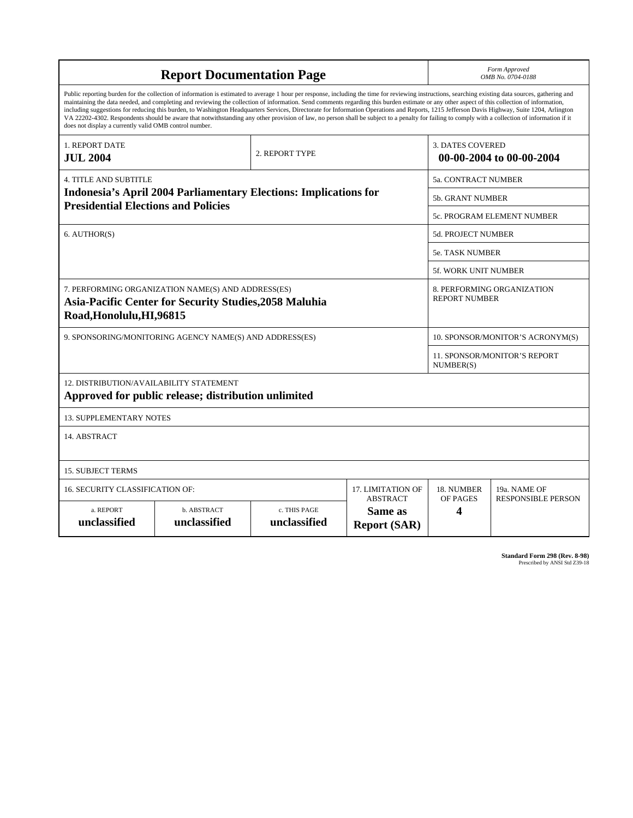| <b>Report Documentation Page</b>                                                                                                                                                                                                                                                                                                                                                                                                                                                                                                                                                                                                                                                                                                                                                                                                                                   |                             |                              |                                                   | Form Approved<br>OMB No. 0704-0188                  |                           |
|--------------------------------------------------------------------------------------------------------------------------------------------------------------------------------------------------------------------------------------------------------------------------------------------------------------------------------------------------------------------------------------------------------------------------------------------------------------------------------------------------------------------------------------------------------------------------------------------------------------------------------------------------------------------------------------------------------------------------------------------------------------------------------------------------------------------------------------------------------------------|-----------------------------|------------------------------|---------------------------------------------------|-----------------------------------------------------|---------------------------|
| Public reporting burden for the collection of information is estimated to average 1 hour per response, including the time for reviewing instructions, searching existing data sources, gathering and<br>maintaining the data needed, and completing and reviewing the collection of information. Send comments regarding this burden estimate or any other aspect of this collection of information,<br>including suggestions for reducing this burden, to Washington Headquarters Services, Directorate for Information Operations and Reports, 1215 Jefferson Davis Highway, Suite 1204, Arlington<br>VA 22202-4302. Respondents should be aware that notwithstanding any other provision of law, no person shall be subject to a penalty for failing to comply with a collection of information if it<br>does not display a currently valid OMB control number. |                             |                              |                                                   |                                                     |                           |
| <b>1. REPORT DATE</b><br><b>JUL 2004</b>                                                                                                                                                                                                                                                                                                                                                                                                                                                                                                                                                                                                                                                                                                                                                                                                                           | 2. REPORT TYPE              |                              |                                                   | <b>3. DATES COVERED</b><br>00-00-2004 to 00-00-2004 |                           |
| <b>4. TITLE AND SUBTITLE</b>                                                                                                                                                                                                                                                                                                                                                                                                                                                                                                                                                                                                                                                                                                                                                                                                                                       |                             |                              |                                                   | 5a. CONTRACT NUMBER                                 |                           |
| <b>Indonesia's April 2004 Parliamentary Elections: Implications for</b><br><b>Presidential Elections and Policies</b>                                                                                                                                                                                                                                                                                                                                                                                                                                                                                                                                                                                                                                                                                                                                              |                             |                              |                                                   | <b>5b. GRANT NUMBER</b>                             |                           |
|                                                                                                                                                                                                                                                                                                                                                                                                                                                                                                                                                                                                                                                                                                                                                                                                                                                                    |                             |                              |                                                   | 5c. PROGRAM ELEMENT NUMBER                          |                           |
| 6. AUTHOR(S)                                                                                                                                                                                                                                                                                                                                                                                                                                                                                                                                                                                                                                                                                                                                                                                                                                                       |                             |                              |                                                   | 5d. PROJECT NUMBER                                  |                           |
|                                                                                                                                                                                                                                                                                                                                                                                                                                                                                                                                                                                                                                                                                                                                                                                                                                                                    |                             |                              |                                                   | <b>5e. TASK NUMBER</b>                              |                           |
|                                                                                                                                                                                                                                                                                                                                                                                                                                                                                                                                                                                                                                                                                                                                                                                                                                                                    |                             |                              |                                                   | 5f. WORK UNIT NUMBER                                |                           |
| 7. PERFORMING ORGANIZATION NAME(S) AND ADDRESS(ES)<br>Asia-Pacific Center for Security Studies, 2058 Maluhia<br>Road, Honolulu, HI, 96815                                                                                                                                                                                                                                                                                                                                                                                                                                                                                                                                                                                                                                                                                                                          |                             |                              |                                                   | 8. PERFORMING ORGANIZATION<br><b>REPORT NUMBER</b>  |                           |
| 9. SPONSORING/MONITORING AGENCY NAME(S) AND ADDRESS(ES)                                                                                                                                                                                                                                                                                                                                                                                                                                                                                                                                                                                                                                                                                                                                                                                                            |                             |                              |                                                   | 10. SPONSOR/MONITOR'S ACRONYM(S)                    |                           |
|                                                                                                                                                                                                                                                                                                                                                                                                                                                                                                                                                                                                                                                                                                                                                                                                                                                                    |                             |                              |                                                   | <b>11. SPONSOR/MONITOR'S REPORT</b><br>NUMBER(S)    |                           |
| 12. DISTRIBUTION/AVAILABILITY STATEMENT<br>Approved for public release; distribution unlimited                                                                                                                                                                                                                                                                                                                                                                                                                                                                                                                                                                                                                                                                                                                                                                     |                             |                              |                                                   |                                                     |                           |
| <b>13. SUPPLEMENTARY NOTES</b>                                                                                                                                                                                                                                                                                                                                                                                                                                                                                                                                                                                                                                                                                                                                                                                                                                     |                             |                              |                                                   |                                                     |                           |
| 14. ABSTRACT                                                                                                                                                                                                                                                                                                                                                                                                                                                                                                                                                                                                                                                                                                                                                                                                                                                       |                             |                              |                                                   |                                                     |                           |
| <b>15. SUBJECT TERMS</b>                                                                                                                                                                                                                                                                                                                                                                                                                                                                                                                                                                                                                                                                                                                                                                                                                                           |                             |                              |                                                   |                                                     |                           |
| 16. SECURITY CLASSIFICATION OF:<br>17. LIMITATION OF                                                                                                                                                                                                                                                                                                                                                                                                                                                                                                                                                                                                                                                                                                                                                                                                               |                             |                              |                                                   | 18. NUMBER                                          | 19a. NAME OF              |
| a. REPORT<br>unclassified                                                                                                                                                                                                                                                                                                                                                                                                                                                                                                                                                                                                                                                                                                                                                                                                                                          | b. ABSTRACT<br>unclassified | c. THIS PAGE<br>unclassified | <b>ABSTRACT</b><br>Same as<br><b>Report (SAR)</b> | OF PAGES<br>4                                       | <b>RESPONSIBLE PERSON</b> |

**Standard Form 298 (Rev. 8-98)**<br>Prescribed by ANSI Std Z39-18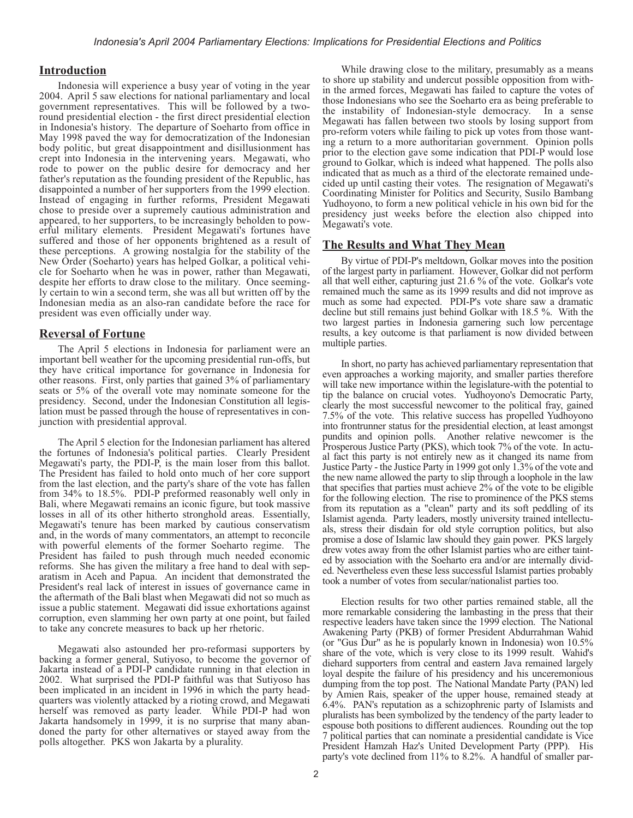#### **Introduction**

Indonesia will experience a busy year of voting in the year 2004. April 5 saw elections for national parliamentary and local government representatives. This will be followed by a tworound presidential election - the first direct presidential election in Indonesia's history. The departure of Soeharto from office in May 1998 paved the way for democratization of the Indonesian body politic, but great disappointment and disillusionment has crept into Indonesia in the intervening years. Megawati, who rode to power on the public desire for democracy and her father's reputation as the founding president of the Republic, has disappointed a number of her supporters from the 1999 election. Instead of engaging in further reforms, President Megawati chose to preside over a supremely cautious administration and appeared, to her supporters, to be increasingly beholden to powerful military elements. President Megawati's fortunes have suffered and those of her opponents brightened as a result of these perceptions. A growing nostalgia for the stability of the New Order (Soeharto) years has helped Golkar, a political vehicle for Soeharto when he was in power, rather than Megawati, despite her efforts to draw close to the military. Once seemingly certain to win a second term, she was all but written off by the Indonesian media as an also-ran candidate before the race for president was even officially under way.

#### **Reversal of Fortune**

The April 5 elections in Indonesia for parliament were an important bell weather for the upcoming presidential run-offs, but they have critical importance for governance in Indonesia for other reasons. First, only parties that gained 3% of parliamentary seats or 5% of the overall vote may nominate someone for the presidency. Second, under the Indonesian Constitution all legislation must be passed through the house of representatives in conjunction with presidential approval.

The April 5 election for the Indonesian parliament has altered the fortunes of Indonesia's political parties. Clearly President Megawati's party, the PDI-P, is the main loser from this ballot. The President has failed to hold onto much of her core support from the last election, and the party's share of the vote has fallen from 34% to 18.5%. PDI-P preformed reasonably well only in Bali, where Megawati remains an iconic figure, but took massive losses in all of its other hitherto stronghold areas. Essentially, Megawati's tenure has been marked by cautious conservatism and, in the words of many commentators, an attempt to reconcile with powerful elements of the former Soeharto regime. The President has failed to push through much needed economic reforms. She has given the military a free hand to deal with separatism in Aceh and Papua. An incident that demonstrated the President's real lack of interest in issues of governance came in the aftermath of the Bali blast when Megawati did not so much as issue a public statement. Megawati did issue exhortations against corruption, even slamming her own party at one point, but failed to take any concrete measures to back up her rhetoric.

Megawati also astounded her pro-reformasi supporters by backing a former general, Sutiyoso, to become the governor of Jakarta instead of a PDI-P candidate running in that election in 2002. What surprised the PDI-P faithful was that Sutiyoso has been implicated in an incident in 1996 in which the party headquarters was violently attacked by a rioting crowd, and Megawati herself was removed as party leader. While PDI-P had won Jakarta handsomely in 1999, it is no surprise that many abandoned the party for other alternatives or stayed away from the polls altogether. PKS won Jakarta by a plurality.

While drawing close to the military, presumably as a means to shore up stability and undercut possible opposition from within the armed forces, Megawati has failed to capture the votes of those Indonesians who see the Soeharto era as being preferable to the instability of Indonesian-style democracy. In a sense Megawati has fallen between two stools by losing support from pro-reform voters while failing to pick up votes from those wanting a return to a more authoritarian government. Opinion polls prior to the election gave some indication that PDI-P would lose ground to Golkar, which is indeed what happened. The polls also indicated that as much as a third of the electorate remained undecided up until casting their votes. The resignation of Megawati's Coordinating Minister for Politics and Security, Susilo Bambang Yudhoyono, to form a new political vehicle in his own bid for the presidency just weeks before the election also chipped into Megawati's vote.

#### **The Results and What They Mean**

By virtue of PDI-P's meltdown, Golkar moves into the position of the largest party in parliament. However, Golkar did not perform all that well either, capturing just 21.6 % of the vote. Golkar's vote remained much the same as its 1999 results and did not improve as much as some had expected. PDI-P's vote share saw a dramatic decline but still remains just behind Golkar with 18.5 %. With the two largest parties in Indonesia garnering such low percentage results, a key outcome is that parliament is now divided between multiple parties.

In short, no party has achieved parliamentary representation that even approaches a working majority, and smaller parties therefore will take new importance within the legislature-with the potential to tip the balance on crucial votes. Yudhoyono's Democratic Party, clearly the most successful newcomer to the political fray, gained 7.5% of the vote. This relative success has propelled Yudhoyono into frontrunner status for the presidential election, at least amongst pundits and opinion polls. Another relative newcomer is the Prosperous Justice Party (PKS), which took 7% of the vote. In actual fact this party is not entirely new as it changed its name from Justice Party - the Justice Party in 1999 got only 1.3% of the vote and the new name allowed the party to slip through a loophole in the law that specifies that parties must achieve 2% of the vote to be eligible for the following election. The rise to prominence of the PKS stems from its reputation as a "clean" party and its soft peddling of its Islamist agenda. Party leaders, mostly university trained intellectuals, stress their disdain for old style corruption politics, but also promise a dose of Islamic law should they gain power. PKS largely drew votes away from the other Islamist parties who are either tainted by association with the Soeharto era and/or are internally divided. Nevertheless even these less successful Islamist parties probably took a number of votes from secular/nationalist parties too.

Election results for two other parties remained stable, all the more remarkable considering the lambasting in the press that their respective leaders have taken since the 1999 election. The National Awakening Party (PKB) of former President Abdurrahman Wahid (or "Gus Dur" as he is popularly known in Indonesia) won 10.5% share of the vote, which is very close to its 1999 result. Wahid's diehard supporters from central and eastern Java remained largely loyal despite the failure of his presidency and his unceremonious dumping from the top post. The National Mandate Party (PAN) led by Amien Rais, speaker of the upper house, remained steady at 6.4%. PAN's reputation as a schizophrenic party of Islamists and pluralists has been symbolized by the tendency of the party leader to espouse both positions to different audiences. Rounding out the top 7 political parties that can nominate a presidential candidate is Vice President Hamzah Haz's United Development Party (PPP). His party's vote declined from 11% to 8.2%. A handful of smaller par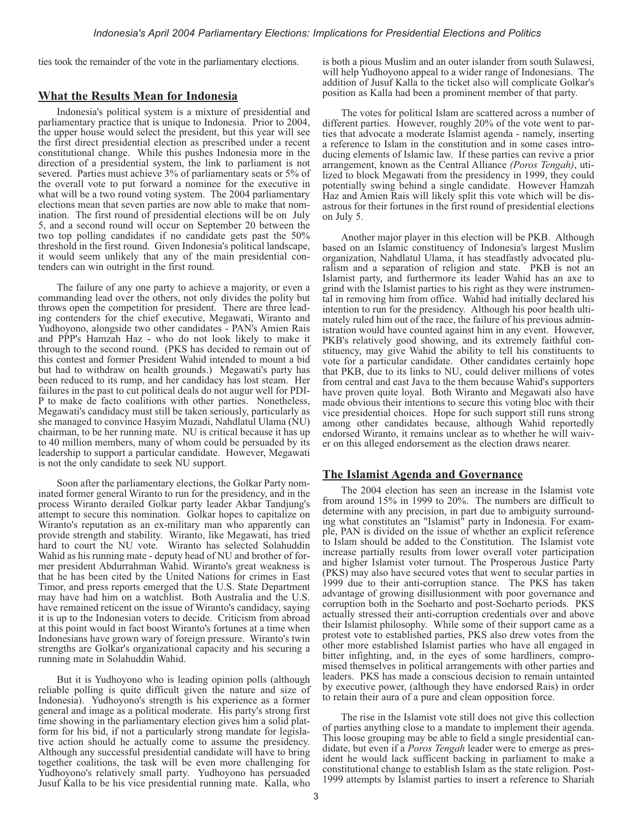ties took the remainder of the vote in the parliamentary elections.

#### **What the Results Mean for Indonesia**

Indonesia's political system is a mixture of presidential and parliamentary practice that is unique to Indonesia. Prior to 2004, the upper house would select the president, but this year will see the first direct presidential election as prescribed under a recent constitutional change. While this pushes Indonesia more in the direction of a presidential system, the link to parliament is not severed. Parties must achieve 3% of parliamentary seats or 5% of the overall vote to put forward a nominee for the executive in what will be a two round voting system. The 2004 parliamentary elections mean that seven parties are now able to make that nomination. The first round of presidential elections will be on July 5, and a second round will occur on September 20 between the two top polling candidates if no candidate gets past the 50% threshold in the first round. Given Indonesia's political landscape, it would seem unlikely that any of the main presidential contenders can win outright in the first round.

The failure of any one party to achieve a majority, or even a commanding lead over the others, not only divides the polity but throws open the competition for president. There are three leading contenders for the chief executive, Megawati, Wiranto and Yudhoyono, alongside two other candidates - PAN's Amien Rais and PPP's Hamzah Haz - who do not look likely to make it through to the second round. (PKS has decided to remain out of this contest and former President Wahid intended to mount a bid but had to withdraw on health grounds.) Megawati's party has been reduced to its rump, and her candidacy has lost steam. Her failures in the past to cut political deals do not augur well for PDI-P to make de facto coalitions with other parties. Nonetheless, Megawati's candidacy must still be taken seriously, particularly as she managed to convince Hasyim Muzadi, Nahdlatul Ulama (NU) chairman, to be her running mate. NU is critical because it has up to 40 million members, many of whom could be persuaded by its leadership to support a particular candidate. However, Megawati is not the only candidate to seek NU support.

Soon after the parliamentary elections, the Golkar Party nominated former general Wiranto to run for the presidency, and in the process Wiranto derailed Golkar party leader Akbar Tandjung's attempt to secure this nomination. Golkar hopes to capitalize on Wiranto's reputation as an ex-military man who apparently can provide strength and stability. Wiranto, like Megawati, has tried hard to court the NU vote. Wiranto has selected Solahuddin Wahid as his running mate - deputy head of NU and brother of former president Abdurrahman Wahid. Wiranto's great weakness is that he has been cited by the United Nations for crimes in East Timor, and press reports emerged that the U.S. State Department may have had him on a watchlist. Both Australia and the U.S. have remained reticent on the issue of Wiranto's candidacy, saying it is up to the Indonesian voters to decide. Criticism from abroad at this point would in fact boost Wiranto's fortunes at a time when Indonesians have grown wary of foreign pressure. Wiranto's twin strengths are Golkar's organizational capacity and his securing a running mate in Solahuddin Wahid.

But it is Yudhoyono who is leading opinion polls (although reliable polling is quite difficult given the nature and size of Indonesia). Yudhoyono's strength is his experience as a former general and image as a political moderate. His party's strong first time showing in the parliamentary election gives him a solid platform for his bid, if not a particularly strong mandate for legislative action should he actually come to assume the presidency. Although any successful presidential candidate will have to bring together coalitions, the task will be even more challenging for Yudhoyono's relatively small party. Yudhoyono has persuaded Jusuf Kalla to be his vice presidential running mate. Kalla, who is both a pious Muslim and an outer islander from south Sulawesi, will help Yudhoyono appeal to a wider range of Indonesians. The addition of Jusuf Kalla to the ticket also will complicate Golkar's position as Kalla had been a prominent member of that party.

The votes for political Islam are scattered across a number of different parties. However, roughly 20% of the vote went to parties that advocate a moderate Islamist agenda - namely, inserting a reference to Islam in the constitution and in some cases introducing elements of Islamic law. If these parties can revive a prior arrangement, known as the Central Alliance *(Poros Tengah)*, utilized to block Megawati from the presidency in 1999, they could potentially swing behind a single candidate. However Hamzah Haz and Amien Rais will likely split this vote which will be disastrous for their fortunes in the first round of presidential elections on July 5.

Another major player in this election will be PKB. Although based on an Islamic constituency of Indonesia's largest Muslim organization, Nahdlatul Ulama, it has steadfastly advocated pluralism and a separation of religion and state. PKB is not an Islamist party, and furthermore its leader Wahid has an axe to grind with the Islamist parties to his right as they were instrumental in removing him from office. Wahid had initially declared his intention to run for the presidency. Although his poor health ultimately ruled him out of the race, the failure of his previous administration would have counted against him in any event. However, PKB's relatively good showing, and its extremely faithful constituency, may give Wahid the ability to tell his constituents to vote for a particular candidate. Other candidates certainly hope that PKB, due to its links to NU, could deliver millions of votes from central and east Java to the them because Wahid's supporters have proven quite loyal. Both Wiranto and Megawati also have made obvious their intentions to secure this voting bloc with their vice presidential choices. Hope for such support still runs strong among other candidates because, although Wahid reportedly endorsed Wiranto, it remains unclear as to whether he will waiver on this alleged endorsement as the election draws nearer.

#### **The Islamist Agenda and Governance**

The 2004 election has seen an increase in the Islamist vote from around 15% in 1999 to 20%. The numbers are difficult to determine with any precision, in part due to ambiguity surrounding what constitutes an "Islamist" party in Indonesia. For example, PAN is divided on the issue of whether an explicit reference to Islam should be added to the Constitution. The Islamist vote increase partially results from lower overall voter participation and higher Islamist voter turnout. The Prosperous Justice Party (PKS) may also have secured votes that went to secular parties in 1999 due to their anti-corruption stance. The PKS has taken advantage of growing disillusionment with poor governance and corruption both in the Soeharto and post-Soeharto periods. PKS actually stressed their anti-corruption credentials over and above their Islamist philosophy. While some of their support came as a protest vote to established parties, PKS also drew votes from the other more established Islamist parties who have all engaged in bitter infighting, and, in the eyes of some hardliners, compromised themselves in political arrangements with other parties and leaders. PKS has made a conscious decision to remain untainted by executive power, (although they have endorsed Rais) in order to retain their aura of a pure and clean opposition force.

The rise in the Islamist vote still does not give this collection of parties anything close to a mandate to implement their agenda. This loose grouping may be able to field a single presidential candidate, but even if a *Poros Tengah* leader were to emerge as president he would lack sufficent backing in parliament to make a constitutional change to establish Islam as the state religion. Post-1999 attempts by Islamist parties to insert a reference to Shariah